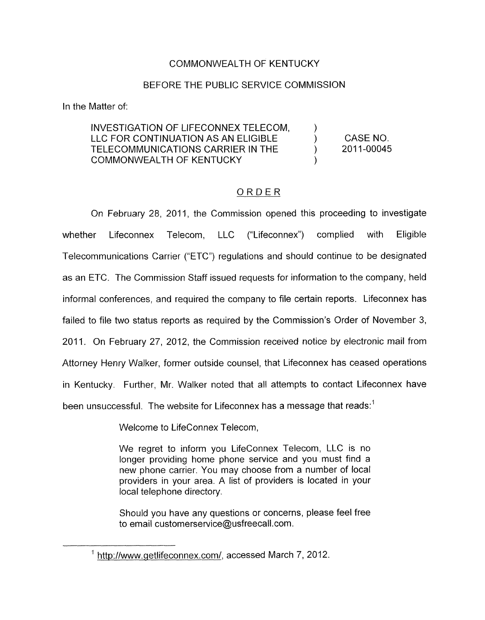## COMMONWEALTH OF KENTUCKY

## BEFORE THE PUBLIC SERVICE COMMISSION

In the Matter of:

## INVESTIGATION OF LIFECONNEX TELECOM. LLC FOR CONTINUATION AS AN ELIGIBLE  $\qquad$  ) CASE NO.<br>TELECOMMUNICATIONS CARRIER IN THE  $\qquad$  ) 2011-00045 TELECOMMUNICATIONS CARRIER IN THE  $\qquad\qquad\qquad\qquad$ COMMONWEALTH OF KENTUCKY )

## ORDER

On February 28, 2011, the Commission opened this proceeding to investigate whether Lifeconnex Telecom, LLC ("Lifeconnex") complied with Eligible Telecommunications Carrier ("ETC") regulations and should continue to be designated as an ETC. The Commission Staff issued requests for information to the company, held informal conferences, and required the company to file certain reports. Lifeconnex has failed to file two status reports as required by the Commission's Order of November 3, 2011. On February 27, 2012, the Commission received notice by electronic mail from Attorney Henry Walker, former outside counsel, that Lifeconnex has ceased operations in Kentucky. Further, Mr. Walker noted that all attempts to contact Lifeconnex have been unsuccessful. The website for Lifeconnex has a message that reads:<sup>1</sup>

Welcome to LifeConnex Telecom,

We regret to inform you LifeConnex Telecom, LLC is no longer providing home phone service and you must find a new phone carrier. You may choose from a number of local providers in your area. A list of providers is located in your local telephone directory.

Should you have any questions or concerns, please feel free to email [customerservice@usfreecall.com.](mailto:customerservice@usfreecall.com)

<sup>&</sup>lt;sup>1</sup> http://www.getlifeconnex.com/, accessed March 7, 2012.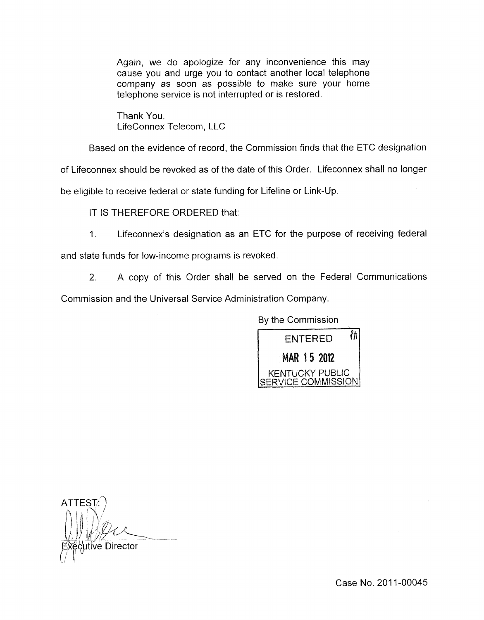Again, we do apologize for any inconvenience this may cause you and urge you to contact another local telephone company as soon as possible to make sure your home telephone service is not interrupted or is restored.

Thank You, LifeConnex Telecom, LLC

Based on the evidence of record, the Commission finds that the ETC designation

of Lifeconnex should be revoked as of the date of this Order. Lifeconnex shall no longer be eligible to receive federal or state funding for Lifeline or Link-Up

IT IS THEREFORE ORDERED that:

1. Lifeconnex's designation as an ETC for the purpose of receiving federal and state funds for low-income programs is revoked.

2. A copy of this Order shall be served on the Federal Communications Commission and the Universal Service Administration Company.

By the Commission



**ATTEST** utive Director